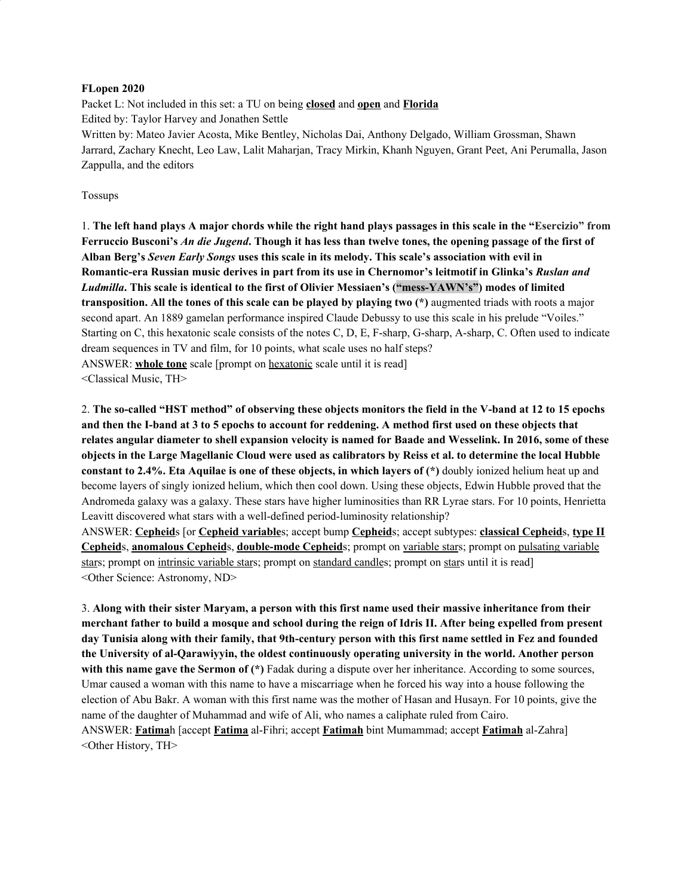#### **FLopen 2020**

Packet L: Not included in this set: a TU on being **closed** and **open** and **Florida** Edited by: Taylor Harvey and Jonathen Settle Written by: Mateo Javier Acosta, Mike Bentley, Nicholas Dai, Anthony Delgado, William Grossman, Shawn Jarrard, Zachary Knecht, Leo Law, Lalit Maharjan, Tracy Mirkin, Khanh Nguyen, Grant Peet, Ani Perumalla, Jason Zappulla, and the editors

#### Tossups

1. The left hand plays A major chords while the right hand plays passages in this scale in the "Esercizio" from Ferruccio Busconi's An die Jugend. Though it has less than twelve tones, the opening passage of the first of **Alban Berg's** *Seven Early Songs* **uses this scale in its melody. This scale's association with evil in Romantic-era Russian music derives in part from its use in Chernomor's leitmotif in Glinka's** *Ruslan and Ludmilla***. This scale is identical to the first of Olivier Messiaen's ("mess-YAWN's") modes of limited transposition. All the tones of this scale can be played by playing two (\*)** augmented triads with roots a major second apart. An 1889 gamelan performance inspired Claude Debussy to use this scale in his prelude "Voiles." Starting on C, this hexatonic scale consists of the notes C, D, E, F-sharp, G-sharp, A-sharp, C. Often used to indicate dream sequences in TV and film, for 10 points, what scale uses no half steps? ANSWER: **whole tone** scale [prompt on hexatonic scale until it is read] <Classical Music, TH>

2. The so-called "HST method" of observing these objects monitors the field in the V-band at 12 to 15 epochs and then the I-band at 3 to 5 epochs to account for reddening. A method first used on these objects that relates angular diameter to shell expansion velocity is named for Baade and Wesselink. In 2016, some of these objects in the Large Magellanic Cloud were used as calibrators by Reiss et al. to determine the local Hubble **constant to 2.4%. Eta Aquilae is one of these objects, in which layers of (\*)** doubly ionized helium heat up and become layers of singly ionized helium, which then cool down. Using these objects, Edwin Hubble proved that the Andromeda galaxy was a galaxy. These stars have higher luminosities than RR Lyrae stars. For 10 points, Henrietta Leavitt discovered what stars with a well-defined period-luminosity relationship?

ANSWER: **Cepheid**s [or **Cepheid variable**s; accept bump **Cepheid**s; accept subtypes: **classical Cepheid**s, **type II Cepheid**s, **anomalous Cepheid**s, **double-mode Cepheid**s; prompt on variable stars; prompt on pulsating variable stars; prompt on intrinsic variable stars; prompt on standard candles; prompt on stars until it is read] <Other Science: Astronomy, ND>

3. Along with their sister Maryam, a person with this first name used their massive inheritance from their merchant father to build a mosque and school during the reign of Idris II. After being expelled from present day Tunisia along with their family, that 9th-century person with this first name settled in Fez and founded **the University of al-Qarawiyyin, the oldest continuously operating university in the world. Another person with this name gave the Sermon of (\*)** Fadak during a dispute over her inheritance. According to some sources, Umar caused a woman with this name to have a miscarriage when he forced his way into a house following the election of Abu Bakr. A woman with this first name was the mother of Hasan and Husayn. For 10 points, give the name of the daughter of Muhammad and wife of Ali, who names a caliphate ruled from Cairo. ANSWER: **Fatima**h [accept **Fatima** al-Fihri; accept **Fatimah** bint Mumammad; accept **Fatimah** al-Zahra] <Other History, TH>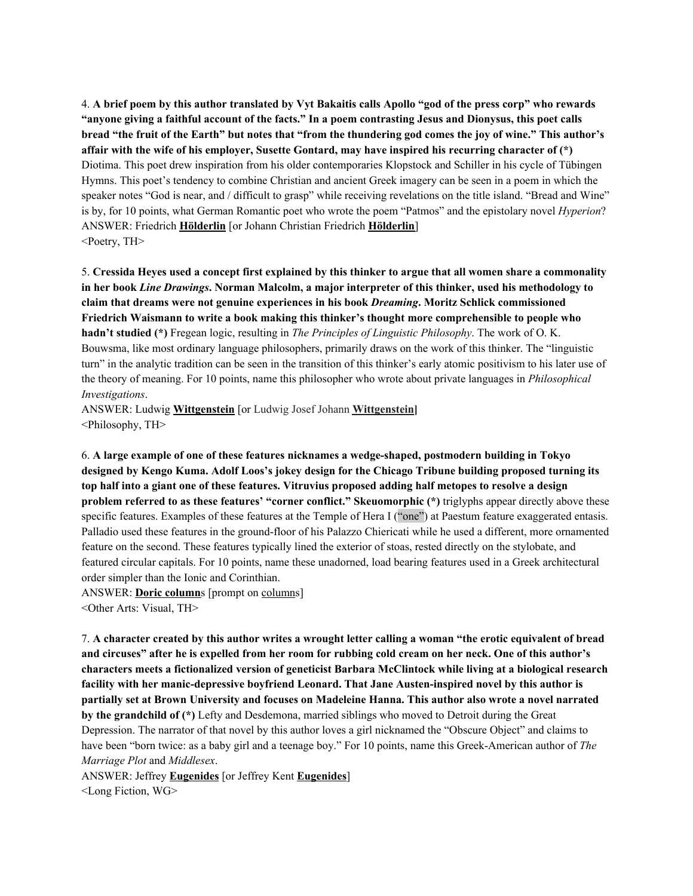4. A brief poem by this author translated by Vyt Bakaitis calls Apollo "god of the press corp" who rewards "anyone giving a faithful account of the facts." In a poem contrasting Jesus and Dionysus, this poet calls bread "the fruit of the Earth" but notes that "from the thundering god comes the joy of wine." This author's **affair with the wife of his employer, Susette Gontard, may have inspired his recurring character of (\*)** Diotima. This poet drew inspiration from his older contemporaries Klopstock and Schiller in his cycle of Tübingen Hymns. This poet's tendency to combine Christian and ancient Greek imagery can be seen in a poem in which the speaker notes "God is near, and / difficult to grasp" while receiving revelations on the title island. "Bread and Wine" is by, for 10 points, what German Romantic poet who wrote the poem "Patmos" and the epistolary novel *Hyperion*? ANSWER: Friedrich **Hölderlin** [or Johann Christian Friedrich **Hölderlin**] <Poetry, TH>

5. Cressida Heyes used a concept first explained by this thinker to argue that all women share a commonality in her book Line Drawings. Norman Malcolm, a major interpreter of this thinker, used his methodology to **claim that dreams were not genuine experiences in his book** *Dreaming***. Moritz Schlick commissioned Friedrich Waismann to write a book making this thinker's thought more comprehensible to people who hadn't studied (\*)** Fregean logic, resulting in *The Principles of Linguistic Philosophy*. The work of O. K. Bouwsma, like most ordinary language philosophers, primarily draws on the work of this thinker. The "linguistic turn" in the analytic tradition can be seen in the transition of this thinker's early atomic positivism to his later use of the theory of meaning. For 10 points, name this philosopher who wrote about private languages in *Philosophical Investigations*.

ANSWER: Ludwig **Wittgenstein** [or Ludwig Josef Johann **Wittgenstein]** <Philosophy, TH>

6. **A large example of one of these features nicknames a wedge-shaped, postmodern building in Tokyo designed by Kengo Kuma. Adolf Loos's jokey design for the Chicago Tribune building proposed turning its** top half into a giant one of these features. Vitruvius proposed adding half metopes to resolve a design **problem referred to as these features' "corner conflict." Skeuomorphic (\*)** triglyphs appear directly above these specific features. Examples of these features at the Temple of Hera I ("one") at Paestum feature exaggerated entasis. Palladio used these features in the ground-floor of his Palazzo Chiericati while he used a different, more ornamented feature on the second. These features typically lined the exterior of stoas, rested directly on the stylobate, and featured circular capitals. For 10 points, name these unadorned, load bearing features used in a Greek architectural order simpler than the Ionic and Corinthian.

ANSWER: **Doric column**s [prompt on columns]

<Other Arts: Visual, TH>

7. A character created by this author writes a wrought letter calling a woman "the erotic equivalent of bread and circuses" after he is expelled from her room for rubbing cold cream on her neck. One of this author's **characters meets a fictionalized version of geneticist Barbara McClintock while living at a biological research facility with her manic-depressive boyfriend Leonard. That Jane Austen-inspired novel by this author is partially set at Brown University and focuses on Madeleine Hanna. This author also wrote a novel narrated by the grandchild of (\*)** Lefty and Desdemona, married siblings who moved to Detroit during the Great Depression. The narrator of that novel by this author loves a girl nicknamed the "Obscure Object" and claims to have been "born twice: as a baby girl and a teenage boy." For 10 points, name this Greek-American author of *The Marriage Plot* and *Middlesex*.

ANSWER: Jeffrey **Eugenides** [or Jeffrey Kent **Eugenides**] <Long Fiction, WG>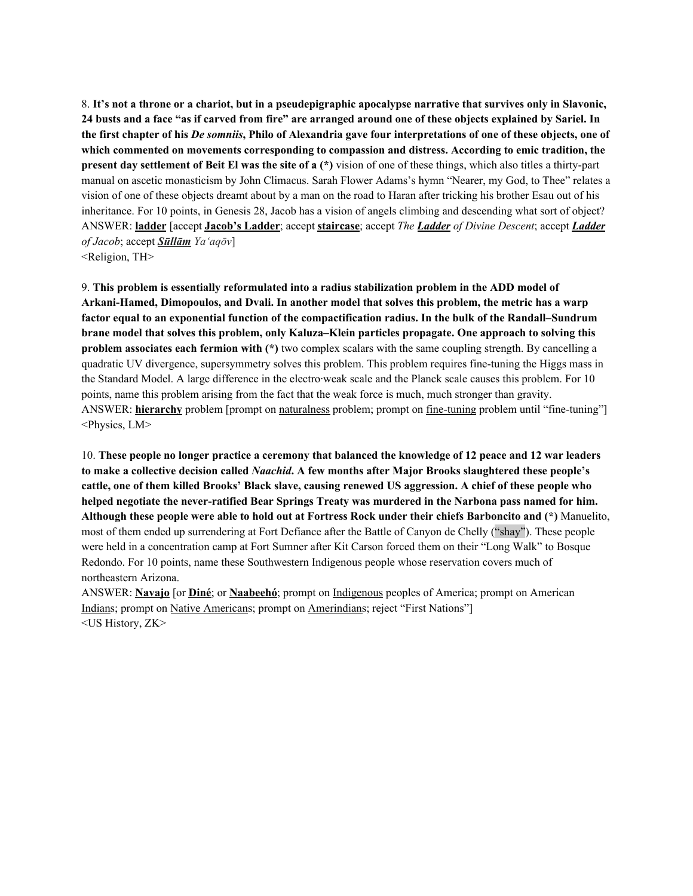8. It's not a throne or a chariot, but in a pseudepigraphic apocalypse narrative that survives only in Slavonic, 24 busts and a face "as if carved from fire" are arranged around one of these objects explained by Sariel. In the first chapter of his De somniis, Philo of Alexandria gave four interpretations of one of these objects, one of **which commented on movements corresponding to compassion and distress. According to emic tradition, the present day settlement of Beit El was the site of a (\*)** vision of one of these things, which also titles a thirty-part manual on ascetic monasticism by John Climacus. Sarah Flower Adams's hymn "Nearer, my God, to Thee" relates a vision of one of these objects dreamt about by a man on the road to Haran after tricking his brother Esau out of his inheritance. For 10 points, in Genesis 28, Jacob has a vision of angels climbing and descending what sort of object? ANSWER: **ladder** [accept **Jacob's Ladder**; accept **staircase**; accept *The Ladder of Divine Descent*; accept *Ladder of Jacob*; accept *Sūllām Ya'aqōv*]

<Religion, TH>

9. **This problem is essentially reformulated into a radius stabilization problem in the ADD model of Arkani-Hamed, Dimopoulos, and Dvali. In another model that solves this problem, the metric has a warp factor equal to an exponential function of the compactification radius. In the bulk of the Randall–Sundrum brane model that solves this problem, only Kaluza–Klein particles propagate. One approach to solving this problem associates each fermion with (\*)** two complex scalars with the same coupling strength. By cancelling a quadratic UV divergence, supersymmetry solves this problem. This problem requires fine-tuning the Higgs mass in the Standard Model. A large difference in the electro·weak scale and the Planck scale causes this problem. For 10 points, name this problem arising from the fact that the weak force is much, much stronger than gravity. ANSWER: **hierarchy** problem [prompt on naturalness problem; prompt on fine-tuning problem until "fine-tuning"] <Physics, LM>

10. These people no longer practice a ceremony that balanced the knowledge of 12 peace and 12 war leaders **to make a collective decision called** *Naachid***. A few months after Major Brooks slaughtered these people's** cattle, one of them killed Brooks' Black slave, causing renewed US aggression. A chief of these people who **helped negotiate the never-ratified Bear Springs Treaty was murdered in the Narbona pass named for him.** Although these people were able to hold out at Fortress Rock under their chiefs Barboncito and (\*) Manuelito, most of them ended up surrendering at Fort Defiance after the Battle of Canyon de Chelly ("shay"). These people were held in a concentration camp at Fort Sumner after Kit Carson forced them on their "Long Walk" to Bosque Redondo. For 10 points, name these Southwestern Indigenous people whose reservation covers much of northeastern Arizona.

ANSWER: **Navajo** [or **Diné**; or **Naabeehó**; prompt on Indigenous peoples of America; prompt on American Indians; prompt on Native Americans; prompt on Amerindians; reject "First Nations"] <US History, ZK>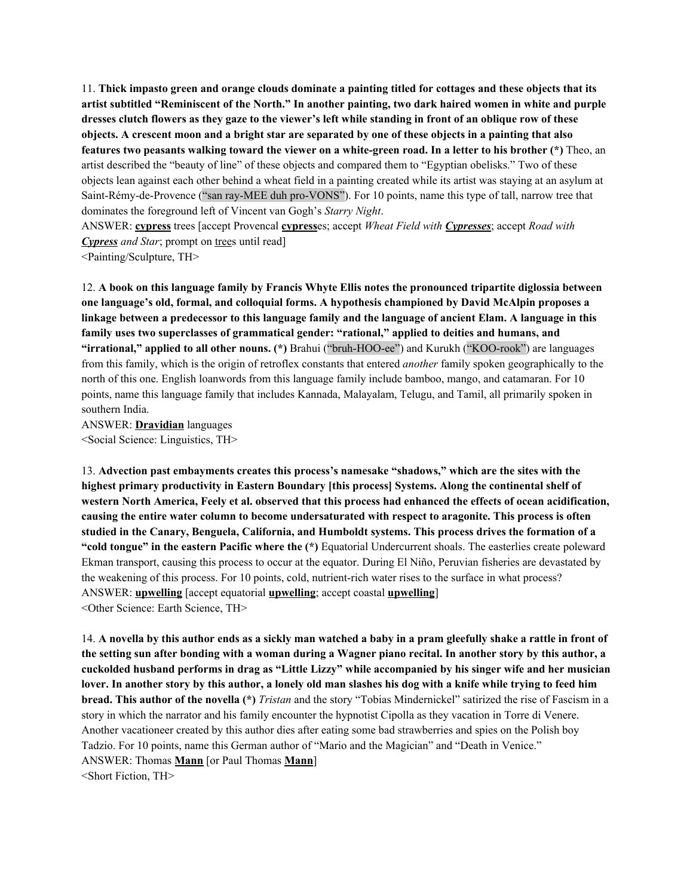11. Thick impasto green and orange clouds dominate a painting titled for cottages and these objects that its artist subtitled "Reminiscent of the North." In another painting, two dark haired women in white and purple dresses clutch flowers as they gaze to the viewer's left while standing in front of an oblique row of these objects. A crescent moon and a bright star are separated by one of these objects in a painting that also features two peasants walking toward the viewer on a white-green road. In a letter to his brother (\*) Theo, an artist described the "beauty of line" of these objects and compared them to "Egyptian obelisks." Two of these objects lean against each other behind a wheat field in a painting created while its artist was staying at an asylum at Saint-Rémy-de-Provence ("san ray-MEE duh pro-VONS"). For 10 points, name this type of tall, narrow tree that dominates the foreground left of Vincent van Gogh's *Starry Night*.

ANSWER: **cypress** trees [accept Provencal **cypress**es; accept *Wheat Field with Cypresses*; accept *Road with Cypress and Star*; prompt on trees until read]

<Painting/Sculpture, TH>

12. **A book on this language family by Francis Whyte Ellis notes the pronounced tripartite diglossia between one language's old, formal, and colloquial forms. A hypothesis championed by David McAlpin proposes a** linkage between a predecessor to this language family and the language of ancient Elam. A language in this **family uses two superclasses of grammatical gender: "rational," applied to deities and humans, and "irrational," applied to all other nouns. (\*)** Brahui ("bruh-HOO-ee") and Kurukh ("KOO-rook") are languages from this family, which is the origin of retroflex constants that entered *another* family spoken geographically to the north of this one. English loanwords from this language family include bamboo, mango, and catamaran. For 10 points, name this language family that includes Kannada, Malayalam, Telugu, and Tamil, all primarily spoken in southern India.

ANSWER: **Dravidian** languages <Social Science: Linguistics, TH>

13. **Advection past embayments creates this process's namesake "shadows," which are the sites with the highest primary productivity in Eastern Boundary [this process] Systems. Along the continental shelf of** western North America, Feely et al. observed that this process had enhanced the effects of ocean acidification, **causing the entire water column to become undersaturated with respect to aragonite. This process is often studied in the Canary, Benguela, California, and Humboldt systems. This process drives the formation of a "cold tongue" in the eastern Pacific where the (\*)** Equatorial Undercurrent shoals. The easterlies create poleward Ekman transport, causing this process to occur at the equator. During El Niño, Peruvian fisheries are devastated by the weakening of this process. For 10 points, cold, nutrient-rich water rises to the surface in what process? ANSWER: **upwelling** [accept equatorial **upwelling**; accept coastal **upwelling**] <Other Science: Earth Science, TH>

14. A novella by this author ends as a sickly man watched a baby in a pram gleefully shake a rattle in front of the setting sun after bonding with a woman during a Wagner piano recital. In another story by this author, a cuckolded husband performs in drag as "Little Lizzy" while accompanied by his singer wife and her musician lover. In another story by this author, a lonely old man slashes his dog with a knife while trying to feed him **bread. This author of the novella (\*)** *Tristan* and the story "Tobias Mindernickel" satirized the rise of Fascism in a story in which the narrator and his family encounter the hypnotist Cipolla as they vacation in Torre di Venere. Another vacationeer created by this author dies after eating some bad strawberries and spies on the Polish boy Tadzio. For 10 points, name this German author of "Mario and the Magician" and "Death in Venice." ANSWER: Thomas **Mann** [or Paul Thomas **Mann**]

<Short Fiction, TH>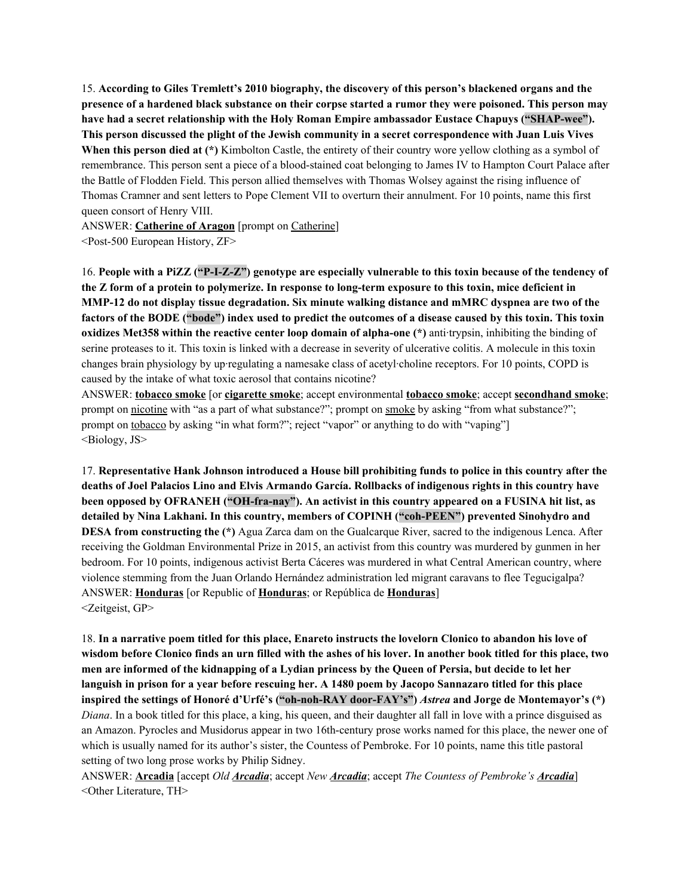15. **According to Giles Tremlett's 2010 biography, the discovery of this person's blackened organs and the** presence of a hardened black substance on their corpse started a rumor they were poisoned. This person may **have had a secret relationship with the Holy Roman Empire ambassador Eustace Chapuys ("SHAP-wee"). This person discussed the plight of the Jewish community in a secret correspondence with Juan Luis Vives When this person died at (\*)** Kimbolton Castle, the entirety of their country wore yellow clothing as a symbol of remembrance. This person sent a piece of a blood-stained coat belonging to James IV to Hampton Court Palace after the Battle of Flodden Field. This person allied themselves with Thomas Wolsey against the rising influence of Thomas Cramner and sent letters to Pope Clement VII to overturn their annulment. For 10 points, name this first queen consort of Henry VIII.

ANSWER: **Catherine of Aragon** [prompt on Catherine] <Post-500 European History, ZF>

16. People with a PiZZ ("P-I-Z-Z") genotype are especially vulnerable to this toxin because of the tendency of the Z form of a protein to polymerize. In response to long-term exposure to this toxin, mice deficient in **MMP-12 do not display tissue degradation. Six minute walking distance and mMRC dyspnea are two of the** factors of the BODE ("bode") index used to predict the outcomes of a disease caused by this toxin. This toxin **oxidizes Met358 within the reactive center loop domain of alpha-one (\*)** anti·trypsin, inhibiting the binding of serine proteases to it. This toxin is linked with a decrease in severity of ulcerative colitis. A molecule in this toxin changes brain physiology by up·regulating a namesake class of acetyl·choline receptors. For 10 points, COPD is caused by the intake of what toxic aerosol that contains nicotine?

ANSWER: **tobacco smoke** [or **cigarette smoke**; accept environmental **tobacco smoke**; accept **secondhand smoke**; prompt on nicotine with "as a part of what substance?"; prompt on smoke by asking "from what substance?"; prompt on tobacco by asking "in what form?"; reject "vapor" or anything to do with "vaping"] <Biology, JS>

17. **Representative Hank Johnson introduced a House bill prohibiting funds to police in this country after the** deaths of Joel Palacios Lino and Elvis Armando García. Rollbacks of indigenous rights in this country have **been opposed by OFRANEH ("OH-fra-nay"). An activist in this country appeared on a FUSINA hit list, as detailed by Nina Lakhani. In this country, members of COPINH ("coh-PEEN") prevented Sinohydro and DESA from constructing the (\*)** Agua Zarca dam on the Gualcarque River, sacred to the indigenous Lenca. After receiving the Goldman Environmental Prize in 2015, an activist from this country was murdered by gunmen in her bedroom. For 10 points, indigenous activist Berta Cáceres was murdered in what Central American country, where violence stemming from the Juan Orlando Hernández administration led migrant caravans to flee Tegucigalpa? ANSWER: **Honduras** [or Republic of **Honduras**; or República de **Honduras**] <Zeitgeist, GP>

18. In a narrative poem titled for this place, Enareto instructs the lovelorn Clonico to abandon his love of wisdom before Clonico finds an urn filled with the ashes of his lover. In another book titled for this place, two men are informed of the kidnapping of a Lydian princess by the Queen of Persia, but decide to let her languish in prison for a year before rescuing her. A 1480 poem by Jacopo Sannazaro titled for this place **inspired the settings of Honoré d'Urfé's ("oh-noh-RAY door-FAY's")** *Astrea* **and Jorge de Montemayor's (\*)** *Diana*. In a book titled for this place, a king, his queen, and their daughter all fall in love with a prince disguised as an Amazon. Pyrocles and Musidorus appear in two 16th-century prose works named for this place, the newer one of which is usually named for its author's sister, the Countess of Pembroke. For 10 points, name this title pastoral setting of two long prose works by Philip Sidney.

ANSWER: **Arcadia** [accept *Old Arcadia*; accept *New Arcadia*; accept *The Countess of Pembroke's Arcadia*] <Other Literature, TH>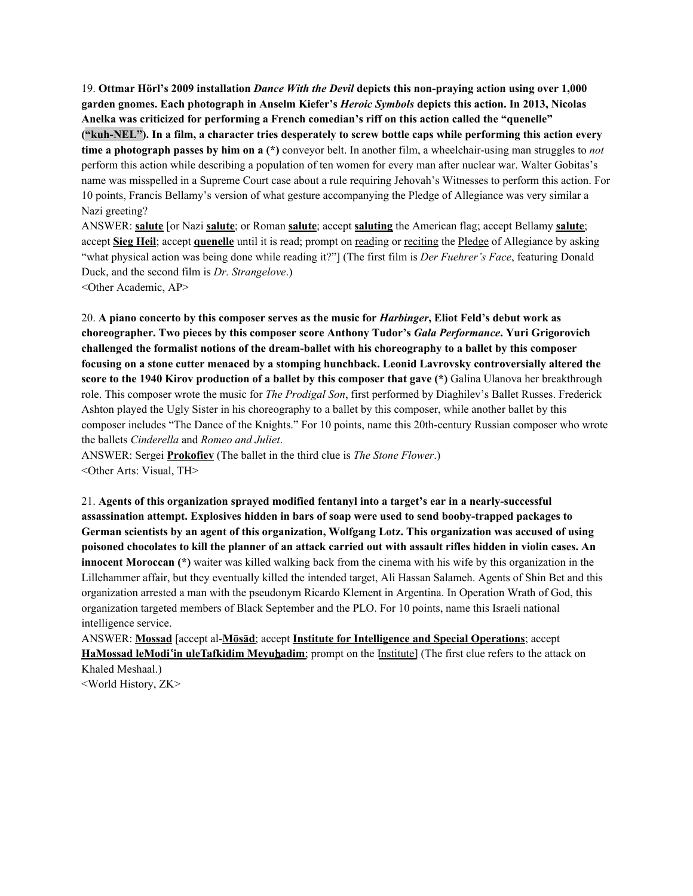19. **Ottmar Hörl's 2009 installation** *Dance With the Devil* **depicts this non-praying action using over 1,000 garden gnomes. Each photograph in Anselm Kiefer's** *Heroic Symbols* **depicts this action. In 2013, Nicolas Anelka was criticized for performing a French comedian's riff on this action called the "quenelle"** ("kuh-NEL"). In a film, a character tries desperately to screw bottle caps while performing this action every **time a photograph passes by him on a (\*)** conveyor belt. In another film, a wheelchair-using man struggles to *not* perform this action while describing a population of ten women for every man after nuclear war. Walter Gobitas's name was misspelled in a Supreme Court case about a rule requiring Jehovah's Witnesses to perform this action. For 10 points, Francis Bellamy's version of what gesture accompanying the Pledge of Allegiance was very similar a Nazi greeting?

ANSWER: **salute** [or Nazi **salute**; or Roman **salute**; accept **saluting** the American flag; accept Bellamy **salute**; accept **Sieg Heil**; accept **quenelle** until it is read; prompt on reading or reciting the Pledge of Allegiance by asking "what physical action was being done while reading it?"] (The first film is *Der Fuehrer's Face*, featuring Donald Duck, and the second film is *Dr. Strangelove*.)

<Other Academic, AP>

20. A piano concerto by this composer serves as the music for *Harbinger*, Eliot Feld's debut work as **choreographer. Two pieces by this composer score Anthony Tudor's** *Gala Performance***. Yuri Grigorovich challenged the formalist notions of the dream-ballet with his choreography to a ballet by this composer focusing on a stone cutter menaced by a stomping hunchback. Leonid Lavrovsky controversially altered the score to the 1940 Kirov production of a ballet by this composer that gave (\*)** Galina Ulanova her breakthrough role. This composer wrote the music for *The Prodigal Son*, first performed by Diaghilev's Ballet Russes. Frederick Ashton played the Ugly Sister in his choreography to a ballet by this composer, while another ballet by this composer includes "The Dance of the Knights." For 10 points, name this 20th-century Russian composer who wrote the ballets *Cinderella* and *Romeo and Juliet*.

ANSWER: Sergei **Prokofiev** (The ballet in the third clue is *The Stone Flower*.) <Other Arts: Visual, TH>

21. **Agents of this organization sprayed modified fentanyl into a target's ear in a nearly-successful assassination attempt. Explosives hidden in bars of soap were used to send booby-trapped packages to German scientists by an agent of this organization, Wolfgang Lotz. This organization was accused of using** poisoned chocolates to kill the planner of an attack carried out with assault rifles hidden in violin cases. An **innocent Moroccan (\*)** waiter was killed walking back from the cinema with his wife by this organization in the Lillehammer affair, but they eventually killed the intended target, Ali Hassan Salameh. Agents of Shin Bet and this organization arrested a man with the pseudonym Ricardo Klement in Argentina. In Operation Wrath of God, this organization targeted members of Black September and the PLO. For 10 points, name this Israeli national intelligence service.

ANSWER: **Mossad** [accept al-**Mōsād**; accept **Institute for Intelligence and Special Operations**; accept **HaMossad leModi**ʿ**in uleTafkidim Meyu**ḥ**adim**; prompt on the Institute] (The first clue refers to the attack on Khaled Meshaal.)

<World History, ZK>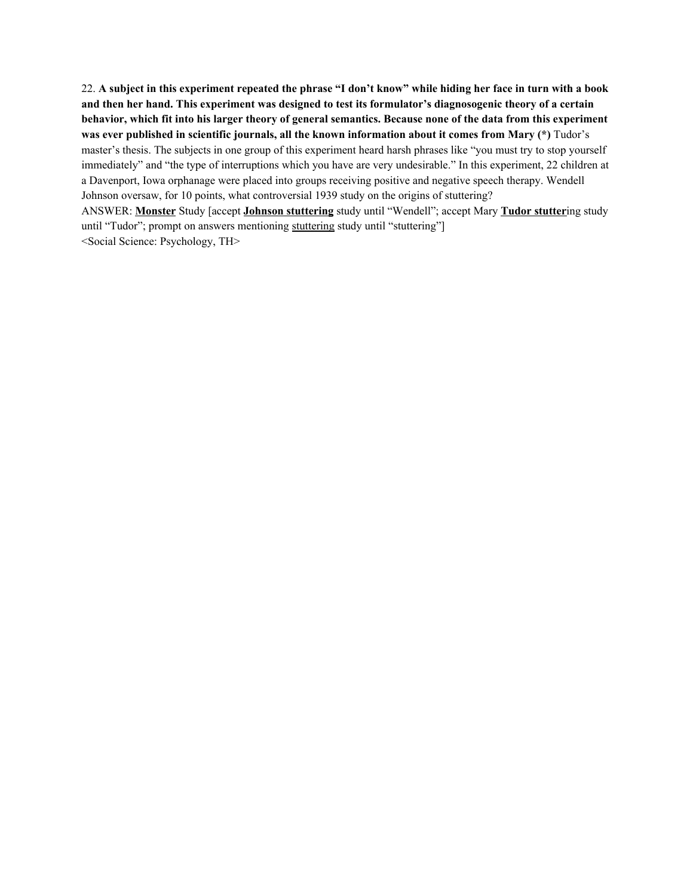22. A subject in this experiment repeated the phrase "I don't know" while hiding her face in turn with a book and then her hand. This experiment was designed to test its formulator's diagnosogenic theory of a certain behavior, which fit into his larger theory of general semantics. Because none of the data from this experiment **was ever published in scientific journals, all the known information about it comes from Mary (\*)** Tudor's master's thesis. The subjects in one group of this experiment heard harsh phrases like "you must try to stop yourself immediately" and "the type of interruptions which you have are very undesirable." In this experiment, 22 children at a Davenport, Iowa orphanage were placed into groups receiving positive and negative speech therapy. Wendell Johnson oversaw, for 10 points, what controversial 1939 study on the origins of stuttering? ANSWER: **Monster** Study [accept **Johnson stuttering** study until "Wendell"; accept Mary **Tudor stutter**ing study until "Tudor"; prompt on answers mentioning stuttering study until "stuttering"] <Social Science: Psychology, TH>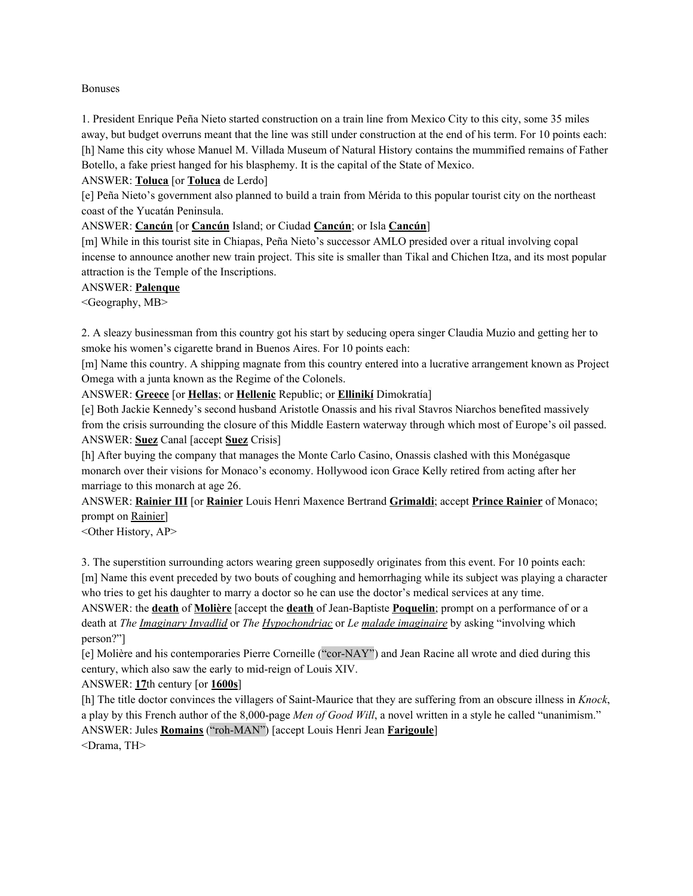#### Bonuses

1. President Enrique Peña Nieto started construction on a train line from Mexico City to this city, some 35 miles away, but budget overruns meant that the line was still under construction at the end of his term. For 10 points each: [h] Name this city whose Manuel M. Villada Museum of Natural History contains the mummified remains of Father Botello, a fake priest hanged for his blasphemy. It is the capital of the State of Mexico.

#### ANSWER: **Toluca** [or **Toluca** de Lerdo]

[e] Peña Nieto's government also planned to build a train from Mérida to this popular tourist city on the northeast coast of the Yucatán Peninsula.

ANSWER: **Cancún** [or **Cancún** Island; or Ciudad **Cancún**; or Isla **Cancún**]

[m] While in this tourist site in Chiapas, Peña Nieto's successor AMLO presided over a ritual involving copal incense to announce another new train project. This site is smaller than Tikal and Chichen Itza, and its most popular attraction is the Temple of the Inscriptions.

#### ANSWER: **Palenque**

<Geography, MB>

2. A sleazy businessman from this country got his start by seducing opera singer Claudia Muzio and getting her to smoke his women's cigarette brand in Buenos Aires. For 10 points each:

[m] Name this country. A shipping magnate from this country entered into a lucrative arrangement known as Project Omega with a junta known as the Regime of the Colonels.

ANSWER: **Greece** [or **Hellas**; or **Hellenic** Republic; or **Ellinikí** Dimokratía]

[e] Both Jackie Kennedy's second husband Aristotle Onassis and his rival Stavros Niarchos benefited massively from the crisis surrounding the closure of this Middle Eastern waterway through which most of Europe's oil passed. ANSWER: **Suez** Canal [accept **Suez** Crisis]

[h] After buying the company that manages the Monte Carlo Casino, Onassis clashed with this Monégasque monarch over their visions for Monaco's economy. Hollywood icon Grace Kelly retired from acting after her marriage to this monarch at age 26.

ANSWER: **Rainier III** [or **Rainier** Louis Henri Maxence Bertrand **Grimaldi**; accept **Prince Rainier** of Monaco; prompt on Rainier]

<Other History, AP>

3. The superstition surrounding actors wearing green supposedly originates from this event. For 10 points each: [m] Name this event preceded by two bouts of coughing and hemorrhaging while its subject was playing a character who tries to get his daughter to marry a doctor so he can use the doctor's medical services at any time.

ANSWER: the **death** of **Molière** [accept the **death** of Jean-Baptiste **Poquelin**; prompt on a performance of or a death at *The Imaginary Invadlid* or *The Hypochondriac* or *Le malade imaginaire* by asking "involving which person?"]

[e] Molière and his contemporaries Pierre Corneille ("cor-NAY") and Jean Racine all wrote and died during this century, which also saw the early to mid-reign of Louis XIV.

ANSWER: **17**th century [or **1600s**]

[h] The title doctor convinces the villagers of Saint-Maurice that they are suffering from an obscure illness in *Knock*, a play by this French author of the 8,000-page *Men of Good Will*, a novel written in a style he called "unanimism." ANSWER: Jules **Romains** ("roh-MAN") [accept Louis Henri Jean **Farigoule**] <Drama, TH>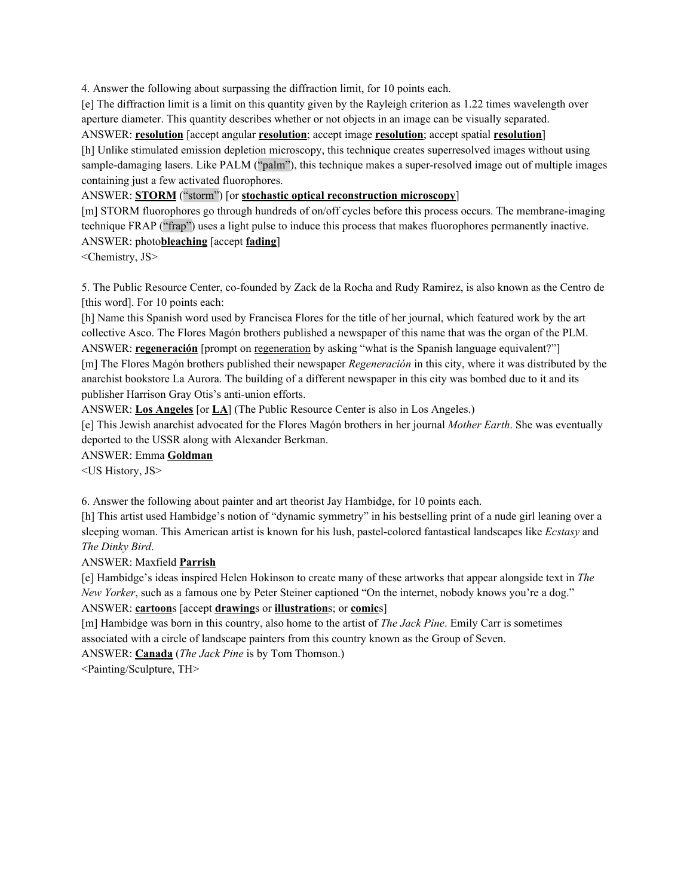4. Answer the following about surpassing the diffraction limit, for 10 points each.

[e] The diffraction limit is a limit on this quantity given by the Rayleigh criterion as 1.22 times wavelength over aperture diameter. This quantity describes whether or not objects in an image can be visually separated.

ANSWER: **resolution** [accept angular **resolution**; accept image **resolution**; accept spatial **resolution**]

[h] Unlike stimulated emission depletion microscopy, this technique creates superresolved images without using sample-damaging lasers. Like PALM ("palm"), this technique makes a super-resolved image out of multiple images containing just a few activated fluorophores.

#### ANSWER: **STORM** ("storm") [or **stochastic optical reconstruction microscopy**]

[m] STORM fluorophores go through hundreds of on/off cycles before this process occurs. The membrane-imaging technique FRAP ("frap") uses a light pulse to induce this process that makes fluorophores permanently inactive. ANSWER: photo**bleaching** [accept **fading**]

<Chemistry, JS>

5. The Public Resource Center, co-founded by Zack de la Rocha and Rudy Ramirez, is also known as the Centro de [this word]. For 10 points each:

[h] Name this Spanish word used by Francisca Flores for the title of her journal, which featured work by the art collective Asco. The Flores Magón brothers published a newspaper of this name that was the organ of the PLM. ANSWER: **regeneración** [prompt on regeneration by asking "what is the Spanish language equivalent?"] [m] The Flores Magón brothers published their newspaper *Regeneración* in this city, where it was distributed by the anarchist bookstore La Aurora. The building of a different newspaper in this city was bombed due to it and its publisher Harrison Gray Otis's anti-union efforts.

ANSWER: **Los Angeles** [or **LA**] (The Public Resource Center is also in Los Angeles.)

[e] This Jewish anarchist advocated for the Flores Magón brothers in her journal *Mother Earth*. She was eventually deported to the USSR along with Alexander Berkman.

ANSWER: Emma **Goldman**

<US History, JS>

6. Answer the following about painter and art theorist Jay Hambidge, for 10 points each.

[h] This artist used Hambidge's notion of "dynamic symmetry" in his bestselling print of a nude girl leaning over a sleeping woman. This American artist is known for his lush, pastel-colored fantastical landscapes like *Ecstasy* and *The Dinky Bird*.

ANSWER: Maxfield **Parrish**

[e] Hambidge's ideas inspired Helen Hokinson to create many of these artworks that appear alongside text in *The New Yorker*, such as a famous one by Peter Steiner captioned "On the internet, nobody knows you're a dog."

ANSWER: **cartoon**s [accept **drawing**s or **illustration**s; or **comic**s]

[m] Hambidge was born in this country, also home to the artist of *The Jack Pine*. Emily Carr is sometimes associated with a circle of landscape painters from this country known as the Group of Seven.

ANSWER: **Canada** (*The Jack Pine* is by Tom Thomson.)

<Painting/Sculpture, TH>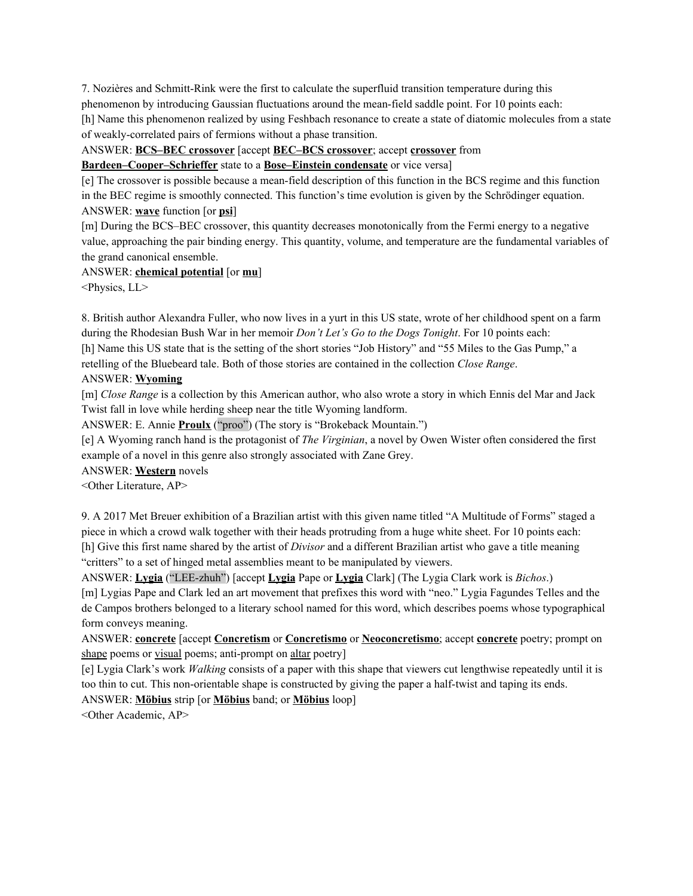7. Nozières and Schmitt-Rink were the first to calculate the superfluid transition temperature during this phenomenon by introducing Gaussian fluctuations around the mean-field saddle point. For 10 points each:

[h] Name this phenomenon realized by using Feshbach resonance to create a state of diatomic molecules from a state of weakly-correlated pairs of fermions without a phase transition.

ANSWER: **BCS–BEC crossover** [accept **BEC–BCS crossover**; accept **crossover** from

**Bardeen–Cooper–Schrieffer** state to a **Bose–Einstein condensate** or vice versa]

[e] The crossover is possible because a mean-field description of this function in the BCS regime and this function in the BEC regime is smoothly connected. This function's time evolution is given by the Schrödinger equation. ANSWER: **wave** function [or **psi**]

[m] During the BCS–BEC crossover, this quantity decreases monotonically from the Fermi energy to a negative value, approaching the pair binding energy. This quantity, volume, and temperature are the fundamental variables of the grand canonical ensemble.

#### ANSWER: **chemical potential** [or **mu**]

<Physics, LL>

8. British author Alexandra Fuller, who now lives in a yurt in this US state, wrote of her childhood spent on a farm during the Rhodesian Bush War in her memoir *Don't Let's Go to the Dogs Tonight*. For 10 points each: [h] Name this US state that is the setting of the short stories "Job History" and "55 Miles to the Gas Pump," a retelling of the Bluebeard tale. Both of those stories are contained in the collection *Close Range*.

# ANSWER: **Wyoming**

[m] *Close Range* is a collection by this American author, who also wrote a story in which Ennis del Mar and Jack Twist fall in love while herding sheep near the title Wyoming landform.

ANSWER: E. Annie **Proulx** ("proo") (The story is "Brokeback Mountain.")

[e] A Wyoming ranch hand is the protagonist of *The Virginian*, a novel by Owen Wister often considered the first example of a novel in this genre also strongly associated with Zane Grey.

ANSWER: **Western** novels

<Other Literature, AP>

9. A 2017 Met Breuer exhibition of a Brazilian artist with this given name titled "A Multitude of Forms" staged a piece in which a crowd walk together with their heads protruding from a huge white sheet. For 10 points each: [h] Give this first name shared by the artist of *Divisor* and a different Brazilian artist who gave a title meaning "critters" to a set of hinged metal assemblies meant to be manipulated by viewers.

ANSWER: **Lygia** ("LEE-zhuh") [accept **Lygia** Pape or **Lygia** Clark] (The Lygia Clark work is *Bichos*.)

[m] Lygias Pape and Clark led an art movement that prefixes this word with "neo." Lygia Fagundes Telles and the de Campos brothers belonged to a literary school named for this word, which describes poems whose typographical form conveys meaning.

ANSWER: **concrete** [accept **Concretism** or **Concretismo** or **Neoconcretismo**; accept **concrete** poetry; prompt on shape poems or visual poems; anti-prompt on altar poetry]

[e] Lygia Clark's work *Walking* consists of a paper with this shape that viewers cut lengthwise repeatedly until it is too thin to cut. This non-orientable shape is constructed by giving the paper a half-twist and taping its ends.

ANSWER: **Möbius** strip [or **Möbius** band; or **Möbius** loop]

<Other Academic, AP>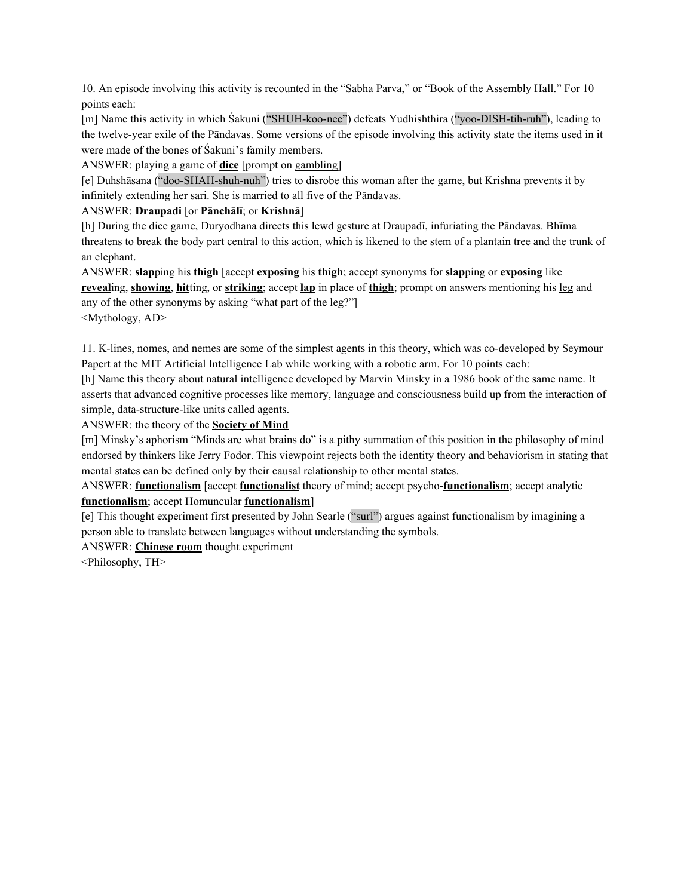10. An episode involving this activity is recounted in the "Sabha Parva," or "Book of the Assembly Hall." For 10 points each:

[m] Name this activity in which Śakuni ("SHUH-koo-nee") defeats Yudhishthira ("yoo-DISH-tih-ruh"), leading to the twelve-year exile of the Pāndavas. Some versions of the episode involving this activity state the items used in it were made of the bones of Śakuni's family members.

ANSWER: playing a game of **dice** [prompt on gambling]

[e] Duhshāsana ("doo-SHAH-shuh-nuh") tries to disrobe this woman after the game, but Krishna prevents it by infinitely extending her sari. She is married to all five of the Pāndavas.

# ANSWER: **Draupadi** [or **Pānchālī**; or **Krishnā**]

[h] During the dice game, Duryodhana directs this lewd gesture at Draupadī, infuriating the Pāndavas. Bhīma threatens to break the body part central to this action, which is likened to the stem of a plantain tree and the trunk of an elephant.

ANSWER: **slap**ping his **thigh** [accept **exposing** his **thigh**; accept synonyms for **slap**ping or **exposing** like **reveal**ing, **showing**, **hit**ting, or **striking**; accept **lap** in place of **thigh**; prompt on answers mentioning his leg and any of the other synonyms by asking "what part of the leg?"] <Mythology, AD>

11. K-lines, nomes, and nemes are some of the simplest agents in this theory, which was co-developed by Seymour Papert at the MIT Artificial Intelligence Lab while working with a robotic arm. For 10 points each:

[h] Name this theory about natural intelligence developed by Marvin Minsky in a 1986 book of the same name. It asserts that advanced cognitive processes like memory, language and consciousness build up from the interaction of simple, data-structure-like units called agents.

ANSWER: the theory of the **Society of Mind**

[m] Minsky's aphorism "Minds are what brains do" is a pithy summation of this position in the philosophy of mind endorsed by thinkers like Jerry Fodor. This viewpoint rejects both the identity theory and behaviorism in stating that mental states can be defined only by their causal relationship to other mental states.

ANSWER: **functionalism** [accept **functionalist** theory of mind; accept psycho-**functionalism**; accept analytic **functionalism**; accept Homuncular **functionalism**]

[e] This thought experiment first presented by John Searle ("surl") argues against functionalism by imagining a person able to translate between languages without understanding the symbols.

ANSWER: **Chinese room** thought experiment

<Philosophy, TH>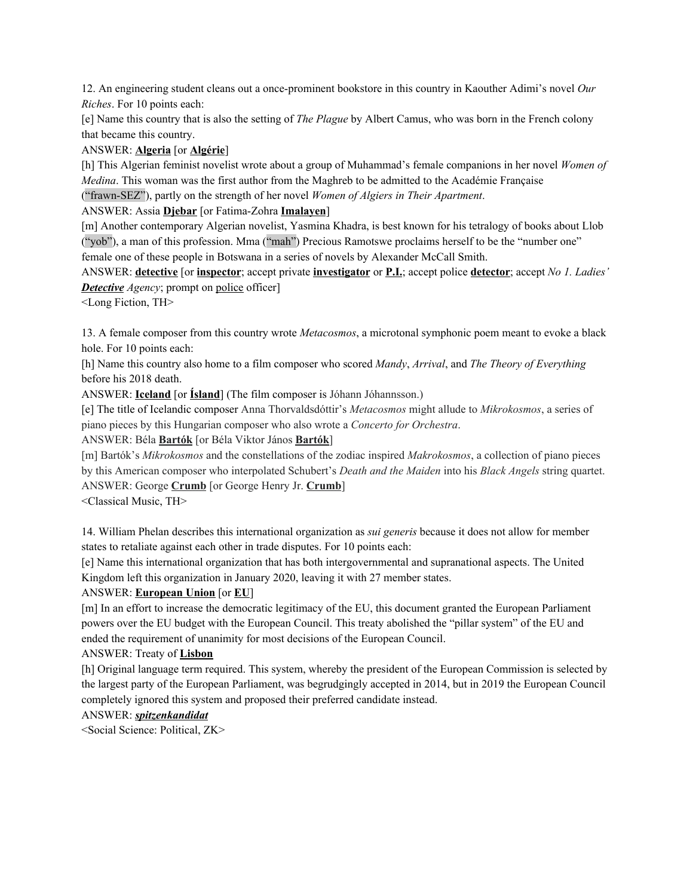12. An engineering student cleans out a once-prominent bookstore in this country in Kaouther Adimi's novel *Our Riches*. For 10 points each:

[e] Name this country that is also the setting of *The Plague* by Albert Camus, who was born in the French colony that became this country.

# ANSWER: **Algeria** [or **Algérie**]

[h] This Algerian feminist novelist wrote about a group of Muhammad's female companions in her novel *Women of Medina*. This woman was the first author from the Maghreb to be admitted to the Académie Française ("frawn-SEZ"), partly on the strength of her novel *Women of Algiers in Their Apartment*.

### ANSWER: Assia **Djebar** [or Fatima-Zohra **Imalayen**]

[m] Another contemporary Algerian novelist, Yasmina Khadra, is best known for his tetralogy of books about Llob ("yob"), a man of this profession. Mma ("mah") Precious Ramotswe proclaims herself to be the "number one" female one of these people in Botswana in a series of novels by Alexander McCall Smith.

ANSWER: **detective** [or **inspector**; accept private **investigator** or **P.I.**; accept police **detector**; accept *No 1. Ladies' Detective Agency*; prompt on police officer]

<Long Fiction, TH>

13. A female composer from this country wrote *Metacosmos*, a microtonal symphonic poem meant to evoke a black hole. For 10 points each:

[h] Name this country also home to a film composer who scored *Mandy*, *Arrival*, and *The Theory of Everything* before his 2018 death.

ANSWER: **Iceland** [or **Ísland**] (The film composer is Jóhann Jóhannsson.)

[e] The title of Icelandic composer Anna Thorvaldsdóttir's *Metacosmos* might allude to *Mikrokosmos*, a series of piano pieces by this Hungarian composer who also wrote a *Concerto for Orchestra*.

ANSWER: Béla **Bartók** [or Béla Viktor János **Bartók**]

[m] Bartók's *Mikrokosmos* and the constellations of the zodiac inspired *Makrokosmos*, a collection of piano pieces by this American composer who interpolated Schubert's *Death and the Maiden* into his *Black Angels* string quartet. ANSWER: George **Crumb** [or George Henry Jr. **Crumb**]

<Classical Music, TH>

14. William Phelan describes this international organization as *sui generis* because it does not allow for member states to retaliate against each other in trade disputes. For 10 points each:

[e] Name this international organization that has both intergovernmental and supranational aspects. The United Kingdom left this organization in January 2020, leaving it with 27 member states.

# ANSWER: **European Union** [or **EU**]

[m] In an effort to increase the democratic legitimacy of the EU, this document granted the European Parliament powers over the EU budget with the European Council. This treaty abolished the "pillar system" of the EU and ended the requirement of unanimity for most decisions of the European Council.

# ANSWER: Treaty of **Lisbon**

[h] Original language term required. This system, whereby the president of the European Commission is selected by the largest party of the European Parliament, was begrudgingly accepted in 2014, but in 2019 the European Council completely ignored this system and proposed their preferred candidate instead.

# ANSWER: *spitzenkandidat*

<Social Science: Political, ZK>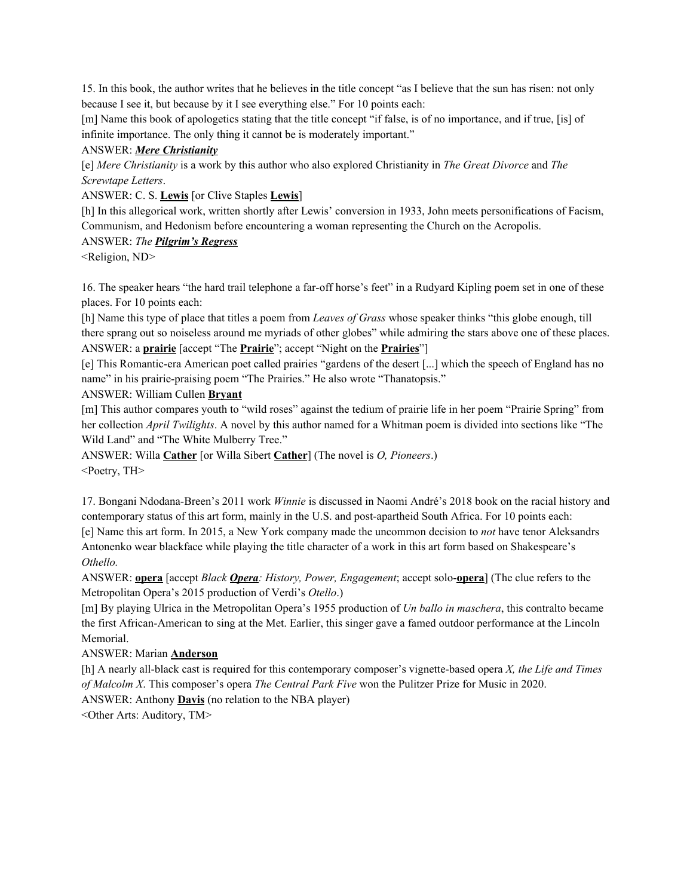15. In this book, the author writes that he believes in the title concept "as I believe that the sun has risen: not only because I see it, but because by it I see everything else." For 10 points each:

[m] Name this book of apologetics stating that the title concept "if false, is of no importance, and if true, [is] of infinite importance. The only thing it cannot be is moderately important."

#### ANSWER: *Mere Christianity*

[e] *Mere Christianity* is a work by this author who also explored Christianity in *The Great Divorce* and *The Screwtape Letters*.

ANSWER: C. S. **Lewis** [or Clive Staples **Lewis**]

[h] In this allegorical work, written shortly after Lewis' conversion in 1933, John meets personifications of Facism, Communism, and Hedonism before encountering a woman representing the Church on the Acropolis.

#### ANSWER: *The Pilgrim's Regress*

<Religion, ND>

16. The speaker hears "the hard trail telephone a far-off horse's feet" in a Rudyard Kipling poem set in one of these places. For 10 points each:

[h] Name this type of place that titles a poem from *Leaves of Grass* whose speaker thinks "this globe enough, till there sprang out so noiseless around me myriads of other globes" while admiring the stars above one of these places. ANSWER: a **prairie** [accept "The **Prairie**"; accept "Night on the **Prairies**"]

[e] This Romantic-era American poet called prairies "gardens of the desert [...] which the speech of England has no name" in his prairie-praising poem "The Prairies." He also wrote "Thanatopsis."

ANSWER: William Cullen **Bryant**

[m] This author compares youth to "wild roses" against the tedium of prairie life in her poem "Prairie Spring" from her collection *April Twilights*. A novel by this author named for a Whitman poem is divided into sections like "The Wild Land" and "The White Mulberry Tree."

ANSWER: Willa **Cather** [or Willa Sibert **Cather**] (The novel is *O, Pioneers*.) <Poetry, TH>

17. Bongani Ndodana-Breen's 2011 work *Winnie* is discussed in Naomi André's 2018 book on the racial history and contemporary status of this art form, mainly in the U.S. and post-apartheid South Africa. For 10 points each: [e] Name this art form. In 2015, a New York company made the uncommon decision to *not* have tenor Aleksandrs Antonenko wear blackface while playing the title character of a work in this art form based on Shakespeare's *Othello.*

ANSWER: **opera** [accept *Black Opera: History, Power, Engagement*; accept solo-**opera**] (The clue refers to the Metropolitan Opera's 2015 production of Verdi's *Otello*.)

[m] By playing Ulrica in the Metropolitan Opera's 1955 production of *Un ballo in maschera*, this contralto became the first African-American to sing at the Met. Earlier, this singer gave a famed outdoor performance at the Lincoln Memorial.

ANSWER: Marian **Anderson**

[h] A nearly all-black cast is required for this contemporary composer's vignette-based opera *X, the Life and Times of Malcolm X*. This composer's opera *The Central Park Five* won the Pulitzer Prize for Music in 2020.

ANSWER: Anthony **Davis** (no relation to the NBA player)

<Other Arts: Auditory, TM>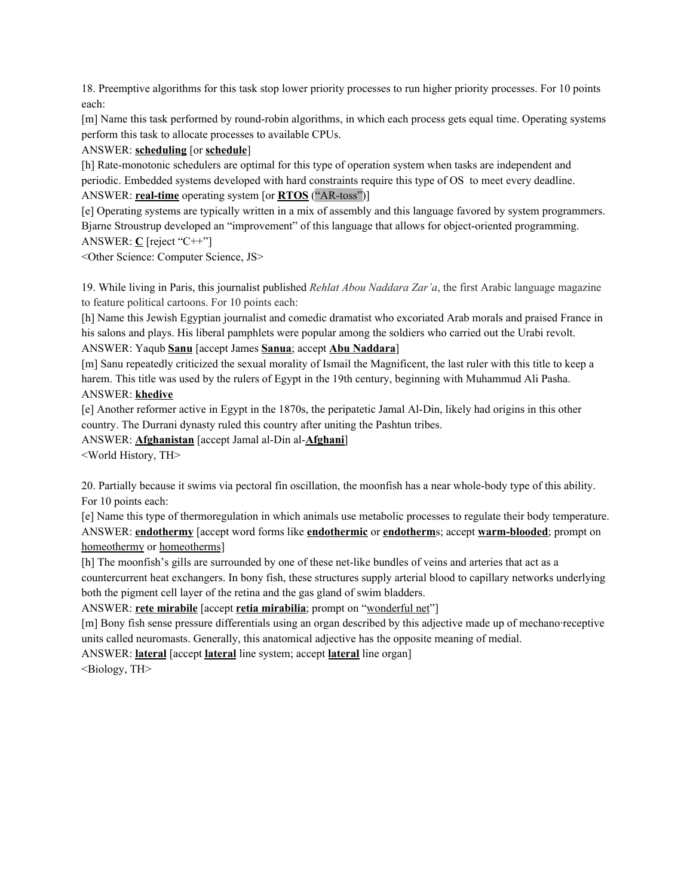18. Preemptive algorithms for this task stop lower priority processes to run higher priority processes. For 10 points each:

[m] Name this task performed by round-robin algorithms, in which each process gets equal time. Operating systems perform this task to allocate processes to available CPUs.

# ANSWER: **scheduling** [or **schedule**]

[h] Rate-monotonic schedulers are optimal for this type of operation system when tasks are independent and periodic. Embedded systems developed with hard constraints require this type of OS to meet every deadline. ANSWER: **real-time** operating system [or **RTOS** ("AR-toss")]

[e] Operating systems are typically written in a mix of assembly and this language favored by system programmers. Bjarne Stroustrup developed an "improvement" of this language that allows for object-oriented programming. ANSWER: **C** [reject "C++"]

<Other Science: Computer Science, JS>

19. While living in Paris, this journalist published *Rehlat Abou Naddara Zar'a*, the first Arabic language magazine to feature political cartoons. For 10 points each:

[h] Name this Jewish Egyptian journalist and comedic dramatist who excoriated Arab morals and praised France in his salons and plays. His liberal pamphlets were popular among the soldiers who carried out the Urabi revolt. ANSWER: Yaqub **Sanu** [accept James **Sanua**; accept **Abu Naddara**]

[m] Sanu repeatedly criticized the sexual morality of Ismail the Magnificent, the last ruler with this title to keep a harem. This title was used by the rulers of Egypt in the 19th century, beginning with Muhammud Ali Pasha. ANSWER: **khedive**

[e] Another reformer active in Egypt in the 1870s, the peripatetic Jamal Al-Din, likely had origins in this other country. The Durrani dynasty ruled this country after uniting the Pashtun tribes.

ANSWER: **Afghanistan** [accept Jamal al-Din al-**Afghani**]

<World History, TH>

20. Partially because it swims via pectoral fin oscillation, the moonfish has a near whole-body type of this ability. For 10 points each:

[e] Name this type of thermoregulation in which animals use metabolic processes to regulate their body temperature. ANSWER: **endothermy** [accept word forms like **endothermic** or **endotherm**s; accept **warm-blooded**; prompt on homeothermy or homeotherms]

[h] The moonfish's gills are surrounded by one of these net-like bundles of veins and arteries that act as a countercurrent heat exchangers. In bony fish, these structures supply arterial blood to capillary networks underlying both the pigment cell layer of the retina and the gas gland of swim bladders.

ANSWER: **rete mirabile** [accept **retia mirabilia**; prompt on "wonderful net"]

[m] Bony fish sense pressure differentials using an organ described by this adjective made up of mechano·receptive units called neuromasts. Generally, this anatomical adjective has the opposite meaning of medial.

ANSWER: **lateral** [accept **lateral** line system; accept **lateral** line organ]

<Biology, TH>